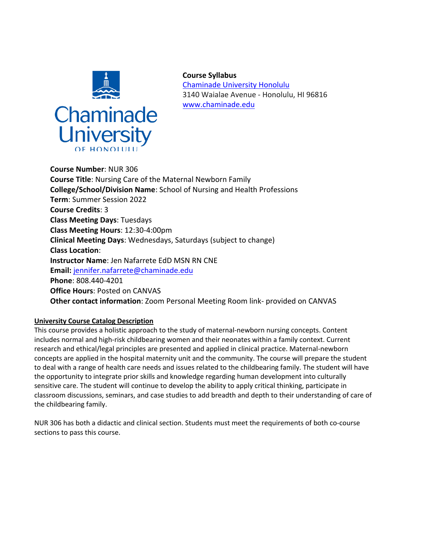

**Course Syllabus** Chaminade University Honolulu 3140 Waialae Avenue - Honolulu, HI 96816 www.chaminade.edu

**Course Number**: NUR 306 **Course Title**: Nursing Care of the Maternal Newborn Family **College/School/Division Name**: School of Nursing and Health Professions **Term**: Summer Session 2022 **Course Credits**: 3 **Class Meeting Days**: Tuesdays **Class Meeting Hours**: 12:30-4:00pm **Clinical Meeting Days**: Wednesdays, Saturdays (subject to change) **Class Location**: **Instructor Name**: Jen Nafarrete EdD MSN RN CNE **Email:** jennifer.nafarrete@chaminade.edu **Phone**: 808.440-4201 **Office Hours**: Posted on CANVAS **Other contact information**: Zoom Personal Meeting Room link- provided on CANVAS

## **University Course Catalog Description**

This course provides a holistic approach to the study of maternal-newborn nursing concepts. Content includes normal and high-risk childbearing women and their neonates within a family context. Current research and ethical/legal principles are presented and applied in clinical practice. Maternal-newborn concepts are applied in the hospital maternity unit and the community. The course will prepare the student to deal with a range of health care needs and issues related to the childbearing family. The student will have the opportunity to integrate prior skills and knowledge regarding human development into culturally sensitive care. The student will continue to develop the ability to apply critical thinking, participate in classroom discussions, seminars, and case studies to add breadth and depth to their understanding of care of the childbearing family.

NUR 306 has both a didactic and clinical section. Students must meet the requirements of both co-course sections to pass this course.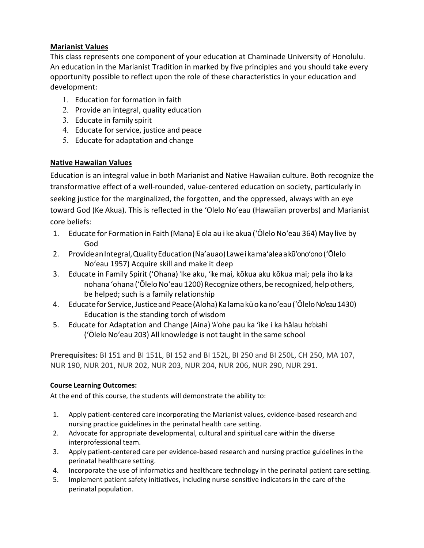# **Marianist Values**

This class represents one component of your education at Chaminade University of Honolulu. An education in the Marianist Tradition in marked by five principles and you should take every opportunity possible to reflect upon the role of these characteristics in your education and development:

- 1. Education for formation in faith
- 2. Provide an integral, quality education
- 3. Educate in family spirit
- 4. Educate for service, justice and peace
- 5. Educate for adaptation and change

# **Native Hawaiian Values**

Education is an integral value in both Marianist and Native Hawaiian culture. Both recognize the transformative effect of a well-rounded, value-centered education on society, particularly in seeking justice for the marginalized, the forgotten, and the oppressed, always with an eye toward God (Ke Akua). This is reflected in the 'Olelo No'eau (Hawaiian proverbs) and Marianist core beliefs:

- 1. Educate for Formation in Faith (Mana) E ola au i ke akua (ʻŌleloNoʻeau 364) May Ilive by God
- 2. ProvideanIntegral,QualityEducation(Na'auao)Laweikamaʻaleaakūʻonoʻono (ʻŌlelo Noʻeau 1957) Acquire skill and make it deep
- 3. Educate in Family Spirit ('Ohana) ʻIke aku, ʻike mai, kōkua aku kōkua mai; pela iho laka nohana 'ohana ('Ōlelo No'eau 1200) Recognize others, be recognized, help others, be helped; such is a family relationship
- 4. Educate for Service, Justice and Peace (Aloha) Kalama kūokanoʻeau ('Ōlelo Noʻeau 1430) Education is the standing torch of wisdom
- 5. Educate for Adaptation and Change (Aina) ʻAʻohe pau ka 'ike i ka hālau hoʻokahi (ʻŌlelo Noʻeau 203) All knowledge is not taught in the same school

**Prerequisites:** BI 151 and BI 151L, BI 152 and BI 152L, BI 250 and BI 250L, CH 250, MA 107, NUR 190, NUR 201, NUR 202, NUR 203, NUR 204, NUR 206, NUR 290, NUR 291.

# **Course Learning Outcomes:**

At the end of this course, the students will demonstrate the ability to:

- 1. Apply patient-centered care incorporating the Marianist values, evidence-based research and nursing practice guidelines in the perinatal health care setting.
- 2. Advocate for appropriate developmental, cultural and spiritual care within the diverse interprofessional team.
- 3. Apply patient-centered care per evidence-based research and nursing practice guidelines in the perinatal healthcare setting.
- 4. Incorporate the use of informatics and healthcare technology in the perinatal patient care setting.
- 5. Implement patient safety initiatives, including nurse-sensitive indicators in the care ofthe perinatal population.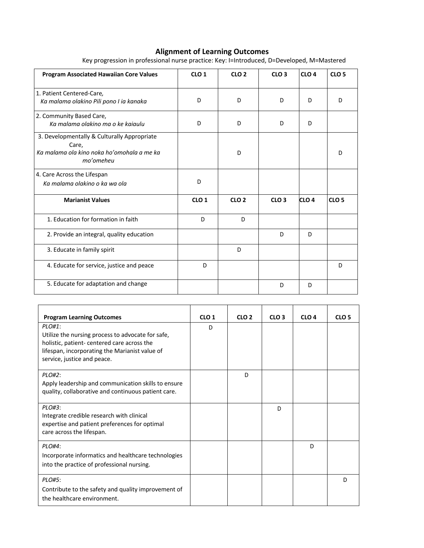## **Alignment of Learning Outcomes**

| <b>Program Associated Hawaiian Core Values</b>                                                                  | CLO <sub>1</sub> | CLO <sub>2</sub> | CLO <sub>3</sub> | CLO <sub>4</sub> | CLO <sub>5</sub> |
|-----------------------------------------------------------------------------------------------------------------|------------------|------------------|------------------|------------------|------------------|
| 1. Patient Centered-Care,<br>Ka malama olakino Pili pono I ia kanaka                                            | D                | D                | D                | D                | D                |
| 2. Community Based Care,<br>Ka malama olakino ma o ke kajaulu                                                   | D                | D                | D                | D                |                  |
| 3. Developmentally & Culturally Appropriate<br>Care,<br>Ka malama ola kino noka ho'omohala a me ka<br>mo'omeheu |                  | D                |                  |                  | D                |
| 4. Care Across the Lifespan<br>Ka malama olakino o ka wa ola                                                    | D                |                  |                  |                  |                  |
| <b>Marianist Values</b>                                                                                         | CLO <sub>1</sub> | CLO <sub>2</sub> | CLO <sub>3</sub> | CLO <sub>4</sub> | CLO <sub>5</sub> |
| 1. Education for formation in faith                                                                             | D                | D                |                  |                  |                  |
| 2. Provide an integral, quality education                                                                       |                  |                  | D                | D                |                  |
| 3. Educate in family spirit                                                                                     |                  | D                |                  |                  |                  |
| 4. Educate for service, justice and peace                                                                       | D                |                  |                  |                  | D                |
| 5. Educate for adaptation and change                                                                            |                  |                  | D                | D                |                  |

Key progression in professional nurse practice: Key: I=Introduced, D=Developed, M=Mastered

| <b>Program Learning Outcomes</b>                                                                                                                                                            | CLO <sub>1</sub> | CLO <sub>2</sub> | CLO <sub>3</sub> | CLO <sub>4</sub> | CLO <sub>5</sub> |
|---------------------------------------------------------------------------------------------------------------------------------------------------------------------------------------------|------------------|------------------|------------------|------------------|------------------|
| PLO#1:<br>Utilize the nursing process to advocate for safe,<br>holistic, patient- centered care across the<br>lifespan, incorporating the Marianist value of<br>service, justice and peace. | D                |                  |                  |                  |                  |
| PLO#2:<br>Apply leadership and communication skills to ensure<br>quality, collaborative and continuous patient care.                                                                        |                  | D                |                  |                  |                  |
| PLO#3:<br>Integrate credible research with clinical<br>expertise and patient preferences for optimal<br>care across the lifespan.                                                           |                  |                  | D.               |                  |                  |
| PLO#4:<br>Incorporate informatics and healthcare technologies<br>into the practice of professional nursing.                                                                                 |                  |                  |                  | D                |                  |
| PLO#5:<br>Contribute to the safety and quality improvement of<br>the healthcare environment.                                                                                                |                  |                  |                  |                  | D                |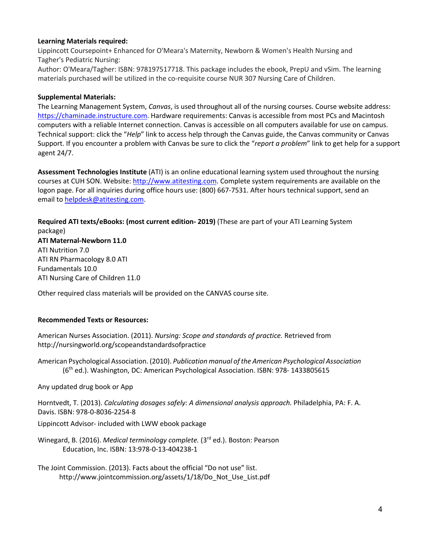## **Learning Materials required:**

Lippincott Coursepoint+ Enhanced for O'Meara's Maternity, Newborn & Women's Health Nursing and Tagher's Pediatric Nursing:

Author: O'Meara/Tagher: ISBN: 978197517718. This package includes the ebook, PrepU and vSim. The learning materials purchased will be utilized in the co-requisite course NUR 307 Nursing Care of Children.

## **Supplemental Materials:**

The Learning Management System, *Canvas*, is used throughout all of the nursing courses. Course website address: https://chaminade.instructure.com. Hardware requirements: Canvas is accessible from most PCs and Macintosh computers with a reliable Internet connection. Canvas is accessible on all computers available for use on campus. Technical support: click the "*Help*" link to access help through the Canvas guide, the Canvas community or Canvas Support. If you encounter a problem with Canvas be sure to click the "*report a problem*" link to get help for a support agent 24/7.

**Assessment Technologies Institute** (ATI) is an online educational learning system used throughout the nursing courses at CUH SON. Website: http://www.atitesting.com. Complete system requirements are available on the logon page. For all inquiries during office hours use: (800) 667-7531. After hours technical support, send an email to helpdesk@atitesting.com.

**Required ATI texts/eBooks: (most current edition- 2019)** (These are part of your ATI Learning System package) **ATI Maternal-Newborn 11.0** ATI Nutrition 7.0 ATI RN Pharmacology 8.0 ATI Fundamentals 10.0 ATI Nursing Care of Children 11.0

Other required class materials will be provided on the CANVAS course site.

## **Recommended Texts or Resources:**

American Nurses Association. (2011). *Nursing: Scope and standards of practice.* Retrieved from http://nursingworld.org/scopeandstandardsofpractice

American Psychological Association. (2010). *Publication manual of the American Psychological Association*  (6<sup>th</sup> ed.). Washington, DC: American Psychological Association. ISBN: 978-1433805615

Any updated drug book or App

Horntvedt, T. (2013). *Calculating dosages safely: A dimensional analysis approach.* Philadelphia, PA: F. A. Davis. ISBN: 978-0-8036-2254-8

Lippincott Advisor- included with LWW ebook package

Winegard, B. (2016). *Medical terminology complete.* (3rd ed.). Boston: Pearson Education, Inc. ISBN: 13:978-0-13-404238-1

The Joint Commission. (2013). Facts about the official "Do not use" list. http://www.jointcommission.org/assets/1/18/Do\_Not\_Use\_List.pdf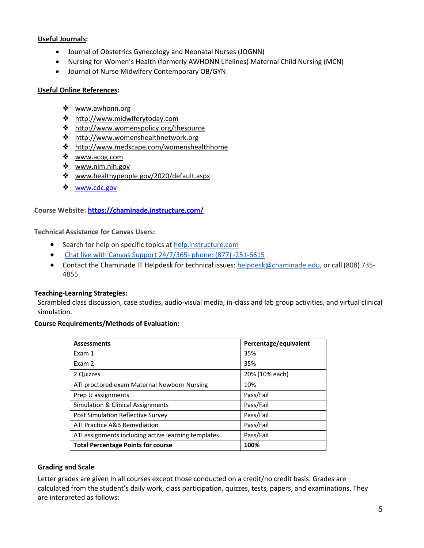## **Useful Journals:**

- Journal of Obstetrics Gynecology and Neonatal Nurses (JOGNN)
- Nursing for Women's Health (formerly AWHONN Lifelines) Maternal Child Nursing (MCN)
- Journal of Nurse Midwifery Contemporary OB/GYN

#### **Useful Online References:**

- ❖ www.awhonn.org
- ❖ http://www.midwiferytoday.com
- ❖ http://www.womenspolicy.org/thesource
- ❖ http://www.womenshealthnetwork.org
- ❖ http://www.medscape.com/womenshealthhome
- ❖ www.acog.com
- ❖ www.nlm.nih.gov
- ❖ www.healthypeople.gov/2020/default.aspx
- ❖ www.cdc.gov

## **Course Website: https://chaminade.instructure.com/**

**Technical Assistance for Canvas Users:**

- Search for help on specific topics at help.instructure.com
- Chat live with Canvas Support 24/7/365- phone: (877) -251-6615
- Contact the Chaminade IT Helpdesk for technical issues: helpdesk@chaminade.edu, or call (808) 735-4855

## **Teaching-Learning Strategies:**

Scrambled class discussion, case studies, audio-visual media, in-class and lab group activities, and virtual clinical simulation.

## **Course Requirements/Methods of Evaluation:**

| <b>Assessments</b>                                  | Percentage/equivalent |  |
|-----------------------------------------------------|-----------------------|--|
| Exam 1                                              | 35%                   |  |
| Exam 2                                              | 35%                   |  |
| 2 Quizzes                                           | 20% (10% each)        |  |
| ATI proctored exam Maternal Newborn Nursing         | 10%                   |  |
| Prep U assignments                                  | Pass/Fail             |  |
| Simulation & Clinical Assignments                   | Pass/Fail             |  |
| Post Simulation Reflective Survey                   | Pass/Fail             |  |
| ATI Practice A&B Remediation                        | Pass/Fail             |  |
| ATI assignments including active learning templates | Pass/Fail             |  |
| <b>Total Percentage Points for course</b>           | 100%                  |  |

## **Grading and Scale**

Letter grades are given in all courses except those conducted on a credit/no credit basis. Grades are calculated from the student's daily work, class participation, quizzes, tests, papers, and examinations. They are interpreted as follows: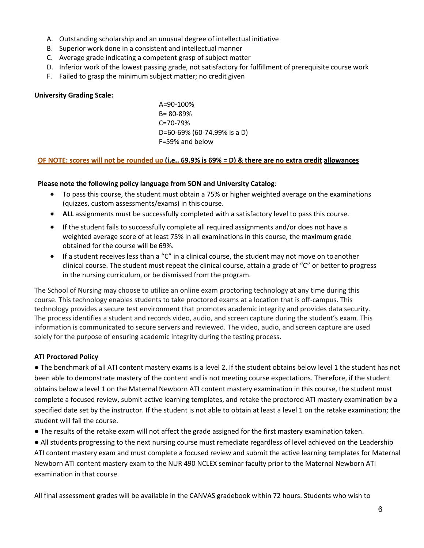- A. Outstanding scholarship and an unusual degree of intellectual initiative
- B. Superior work done in a consistent and intellectual manner
- C. Average grade indicating a competent grasp of subject matter
- D. Inferior work of the lowest passing grade, not satisfactory for fulfillment of prerequisite course work
- F. Failed to grasp the minimum subject matter; no credit given

## **University Grading Scale:**

A=90-100% B= 80-89% C=70-79% D=60-69% (60-74.99% is a D) F=59% and below

#### **OF NOTE: scores will not be rounded up (i.e., 69.9% is 69% = D) & there are no extra credit allowances**

## **Please note the following policy language from SON and University Catalog**:

- To pass this course, the student must obtain a 75% or higher weighted average on the examinations (quizzes, custom assessments/exams) in this course.
- **ALL** assignments must be successfully completed with a satisfactory level to pass this course.
- If the student fails to successfully complete all required assignments and/or does not have a weighted average score of at least 75% in all examinations in this course, the maximum grade obtained for the course will be 69%.
- If a student receives less than a "C" in a clinical course, the student may not move on toanother clinical course. The student must repeat the clinical course, attain a grade of "C" or better to progress in the nursing curriculum, or be dismissed from the program.

The School of Nursing may choose to utilize an online exam proctoring technology at any time during this course. This technology enables students to take proctored exams at a location that is off-campus. This technology provides a secure test environment that promotes academic integrity and provides data security. The process identifies a student and records video, audio, and screen capture during the student's exam. This information is communicated to secure servers and reviewed. The video, audio, and screen capture are used solely for the purpose of ensuring academic integrity during the testing process.

## **ATI Proctored Policy**

● The benchmark of all ATI content mastery exams is a level 2. If the student obtains below level 1 the student has not been able to demonstrate mastery of the content and is not meeting course expectations. Therefore, if the student obtains below a level 1 on the Maternal Newborn ATI content mastery examination in this course, the student must complete a focused review, submit active learning templates, and retake the proctored ATI mastery examination by a specified date set by the instructor. If the student is not able to obtain at least a level 1 on the retake examination; the student will fail the course.

● The results of the retake exam will not affect the grade assigned for the first mastery examination taken.

● All students progressing to the next nursing course must remediate regardless of level achieved on the Leadership ATI content mastery exam and must complete a focused review and submit the active learning templates for Maternal Newborn ATI content mastery exam to the NUR 490 NCLEX seminar faculty prior to the Maternal Newborn ATI examination in that course.

All final assessment grades will be available in the CANVAS gradebook within 72 hours. Students who wish to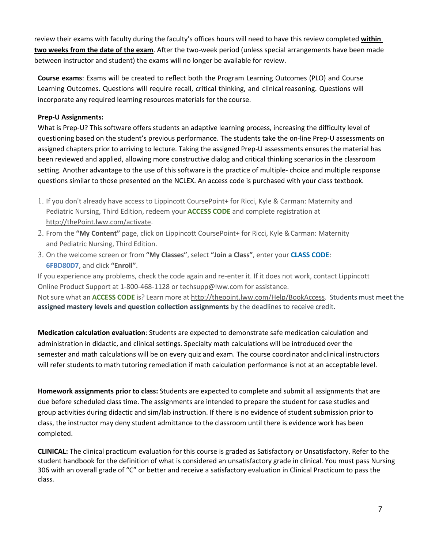review their exams with faculty during the faculty's offices hours will need to have this review completed **within two weeks from the date of the exam**. After the two-week period (unless special arrangements have been made between instructor and student) the exams will no longer be available for review.

**Course exams**: Exams will be created to reflect both the Program Learning Outcomes (PLO) and Course Learning Outcomes. Questions will require recall, critical thinking, and clinical reasoning. Questions will incorporate any required learning resources materials for the course.

## **Prep-U Assignments:**

What is Prep-U? This software offers students an adaptive learning process, increasing the difficulty level of questioning based on the student's previous performance. The students take the on-line Prep-U assessments on assigned chapters prior to arriving to lecture. Taking the assigned Prep-U assessments ensures the material has been reviewed and applied, allowing more constructive dialog and critical thinking scenarios in the classroom setting. Another advantage to the use of this software is the practice of multiple- choice and multiple response questions similar to those presented on the NCLEX. An access code is purchased with your class textbook.

- 1. If you don't already have access to Lippincott CoursePoint+ for Ricci, Kyle & Carman: Maternity and Pediatric Nursing, Third Edition, redeem your **ACCESS CODE** and complete registration at http://thePoint.lww.com/activate.
- 2. From the **"My Content"** page, click on Lippincott CoursePoint+ for Ricci, Kyle &Carman: Maternity and Pediatric Nursing, Third Edition.
- 3. On the welcome screen or from **"My Classes"**, select **"Join a Class"**, enter your **CLASS CODE**: **6FBD80D7**, and click **"Enroll"**.

If you experience any problems, check the code again and re-enter it. If it does not work, contact Lippincott Online Product Support at 1-800-468-1128 or techsupp@lww.com for assistance. Not sure what an **ACCESS CODE** is? Learn more at http://thepoint.lww.com/Help/BookAccess. Students must meet the **assigned mastery levels and question collection assignments** by the deadlines to receive credit.

**Medication calculation evaluation**: Students are expected to demonstrate safe medication calculation and administration in didactic, and clinical settings. Specialty math calculations will be introduced over the semester and math calculations will be on every quiz and exam. The course coordinator and clinical instructors will refer students to math tutoring remediation if math calculation performance is not at an acceptable level.

**Homework assignments prior to class:** Students are expected to complete and submit all assignments that are due before scheduled class time. The assignments are intended to prepare the student for case studies and group activities during didactic and sim/lab instruction. If there is no evidence of student submission prior to class, the instructor may deny student admittance to the classroom until there is evidence work has been completed.

**CLINICAL:** The clinical practicum evaluation for this course is graded as Satisfactory or Unsatisfactory. Refer to the student handbook for the definition of what is considered an unsatisfactory grade in clinical. You must pass Nursing 306 with an overall grade of "C" or better and receive a satisfactory evaluation in Clinical Practicum to pass the class.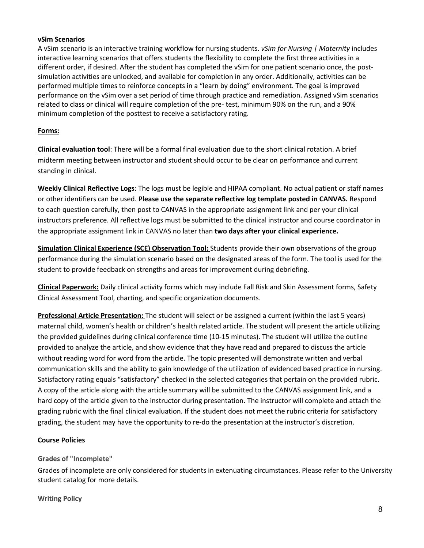#### **vSim Scenarios**

A vSim scenario is an interactive training workflow for nursing students. *vSim for Nursing | Maternity* includes interactive learning scenarios that offers students the flexibility to complete the first three activities in a different order, if desired. After the student has completed the vSim for one patient scenario once, the postsimulation activities are unlocked, and available for completion in any order. Additionally, activities can be performed multiple times to reinforce concepts in a "learn by doing" environment. The goal is improved performance on the vSim over a set period of time through practice and remediation. Assigned vSim scenarios related to class or clinical will require completion of the pre- test, minimum 90% on the run, and a 90% minimum completion of the posttest to receive a satisfactory rating.

#### **Forms:**

**Clinical evaluation tool**: There will be a formal final evaluation due to the short clinical rotation. A brief midterm meeting between instructor and student should occur to be clear on performance and current standing in clinical.

**Weekly Clinical Reflective Logs**: The logs must be legible and HIPAA compliant. No actual patient or staff names or other identifiers can be used. **Please use the separate reflective log template posted in CANVAS.** Respond to each question carefully, then post to CANVAS in the appropriate assignment link and per your clinical instructors preference. All reflective logs must be submitted to the clinical instructor and course coordinator in the appropriate assignment link in CANVAS no later than **two days after your clinical experience.**

**Simulation Clinical Experience (SCE) Observation Tool:** Students provide their own observations of the group performance during the simulation scenario based on the designated areas of the form. The tool is used for the student to provide feedback on strengths and areas for improvement during debriefing.

**Clinical Paperwork:** Daily clinical activity forms which may include Fall Risk and Skin Assessment forms, Safety Clinical Assessment Tool, charting, and specific organization documents.

**Professional Article Presentation:** The student will select or be assigned a current (within the last 5 years) maternal child, women's health or children's health related article. The student will present the article utilizing the provided guidelines during clinical conference time (10-15 minutes). The student will utilize the outline provided to analyze the article, and show evidence that they have read and prepared to discuss the article without reading word for word from the article. The topic presented will demonstrate written and verbal communication skills and the ability to gain knowledge of the utilization of evidenced based practice in nursing. Satisfactory rating equals "satisfactory" checked in the selected categories that pertain on the provided rubric. A copy of the article along with the article summary will be submitted to the CANVAS assignment link, and a hard copy of the article given to the instructor during presentation. The instructor will complete and attach the grading rubric with the final clinical evaluation. If the student does not meet the rubric criteria for satisfactory grading, the student may have the opportunity to re-do the presentation at the instructor's discretion.

## **Course Policies**

**Grades of "Incomplete"**

Grades of incomplete are only considered for students in extenuating circumstances. Please refer to the University student catalog for more details.

**Writing Policy**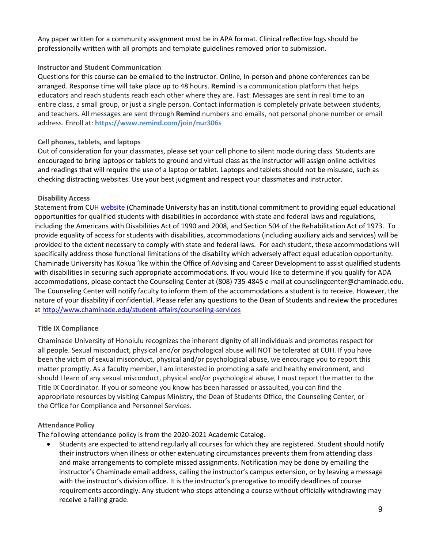Any paper written for a community assignment must be in APA format. Clinical reflective logs should be professionally written with all prompts and template guidelines removed prior to submission.

## **Instructor and Student Communication**

Questions for this course can be emailed to the instructor. Online, in-person and phone conferences can be arranged. Response time will take place up to 48 hours. **Remind** is a communication platform that helps educators and reach students reach each other where they are. Fast: Messages are sent in real time to an entire class, a small group, or just a single person. Contact information is completely private between students, and teachers. All messages are sent through **Remind** numbers and emails, not personal phone number or email address. Enroll at: **https://www.remind.com/join/nur306s**

## **Cell phones, tablets, and laptops**

Out of consideration for your classmates, please set your cell phone to silent mode during class. Students are encouraged to bring laptops or tablets to ground and virtual class as the instructor will assign online activities and readings that will require the use of a laptop or tablet. Laptops and tablets should not be misused, such as checking distracting websites. Use your best judgment and respect your classmates and instructor.

## **Disability Access**

Statement from CUH website (Chaminade University has an institutional commitment to providing equal educational opportunities for qualified students with disabilities in accordance with state and federal laws and regulations, including the Americans with Disabilities Act of 1990 and 2008, and Section 504 of the Rehabilitation Act of 1973. To provide equality of access for students with disabilities, accommodations (including auxiliary aids and services) will be provided to the extent necessary to comply with state and federal laws. For each student, these accommodations will specifically address those functional limitations of the disability which adversely affect equal education opportunity. Chaminade University has Kōkua ʻIke within the Office of Advising and Career Development to assist qualified students with disabilities in securing such appropriate accommodations. If you would like to determine if you qualify for ADA accommodations, please contact the Counseling Center at (808) 735-4845 e-mail at counselingcenter@chaminade.edu. The Counseling Center will notify faculty to inform them of the accommodations a student is to receive. However, the nature of your disability if confidential. Please refer any questions to the Dean of Students and review the procedures at http://www.chaminade.edu/student-affairs/counseling-services

## **Title IX Compliance**

Chaminade University of Honolulu recognizes the inherent dignity of all individuals and promotes respect for all people. Sexual misconduct, physical and/or psychological abuse will NOT be tolerated at CUH. If you have been the victim of sexual misconduct, physical and/or psychological abuse, we encourage you to report this matter promptly. As a faculty member, I am interested in promoting a safe and healthy environment, and should I learn of any sexual misconduct, physical and/or psychological abuse, I must report the matter to the Title IX Coordinator. If you or someone you know has been harassed or assaulted, you can find the appropriate resources by visiting Campus Ministry, the Dean of Students Office, the Counseling Center, or the Office for Compliance and Personnel Services.

## **Attendance Policy**

The following attendance policy is from the 2020-2021 Academic Catalog.

• Students are expected to attend regularly all courses for which they are registered. Student should notify their instructors when illness or other extenuating circumstances prevents them from attending class and make arrangements to complete missed assignments. Notification may be done by emailing the instructor's Chaminade email address, calling the instructor's campus extension, or by leaving a message with the instructor's division office. It is the instructor's prerogative to modify deadlines of course requirements accordingly. Any student who stops attending a course without officially withdrawing may receive a failing grade.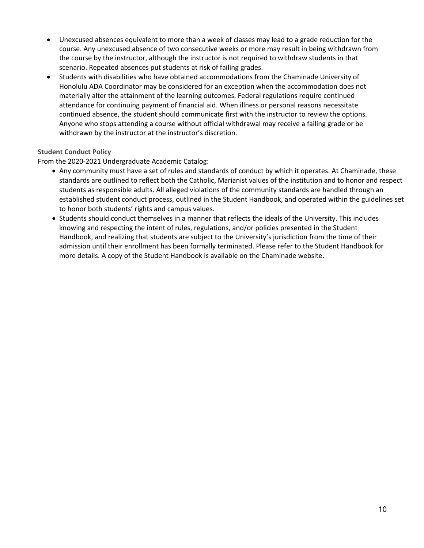- Unexcused absences equivalent to more than a week of classes may lead to a grade reduction for the course. Any unexcused absence of two consecutive weeks or more may result in being withdrawn from the course by the instructor, although the instructor is not required to withdraw students in that scenario. Repeated absences put students at risk of failing grades.
- Students with disabilities who have obtained accommodations from the Chaminade University of Honolulu ADA Coordinator may be considered for an exception when the accommodation does not materially alter the attainment of the learning outcomes. Federal regulations require continued attendance for continuing payment of financial aid. When illness or personal reasons necessitate continued absence, the student should communicate first with the instructor to review the options. Anyone who stops attending a course without official withdrawal may receive a failing grade or be withdrawn by the instructor at the instructor's discretion.

## **Student Conduct Policy**

From the 2020-2021 Undergraduate Academic Catalog:

- Any community must have a set of rules and standards of conduct by which it operates. At Chaminade, these standards are outlined to reflect both the Catholic, Marianist values of the institution and to honor and respect students as responsible adults. All alleged violations of the community standards are handled through an established student conduct process, outlined in the Student Handbook, and operated within the guidelines set to honor both students' rights and campus values.
- Students should conduct themselves in a manner that reflects the ideals of the University. This includes knowing and respecting the intent of rules, regulations, and/or policies presented in the Student Handbook, and realizing that students are subject to the University's jurisdiction from the time of their admission until their enrollment has been formally terminated. Please refer to the Student Handbook for more details. A copy of the Student Handbook is available on the Chaminade website.